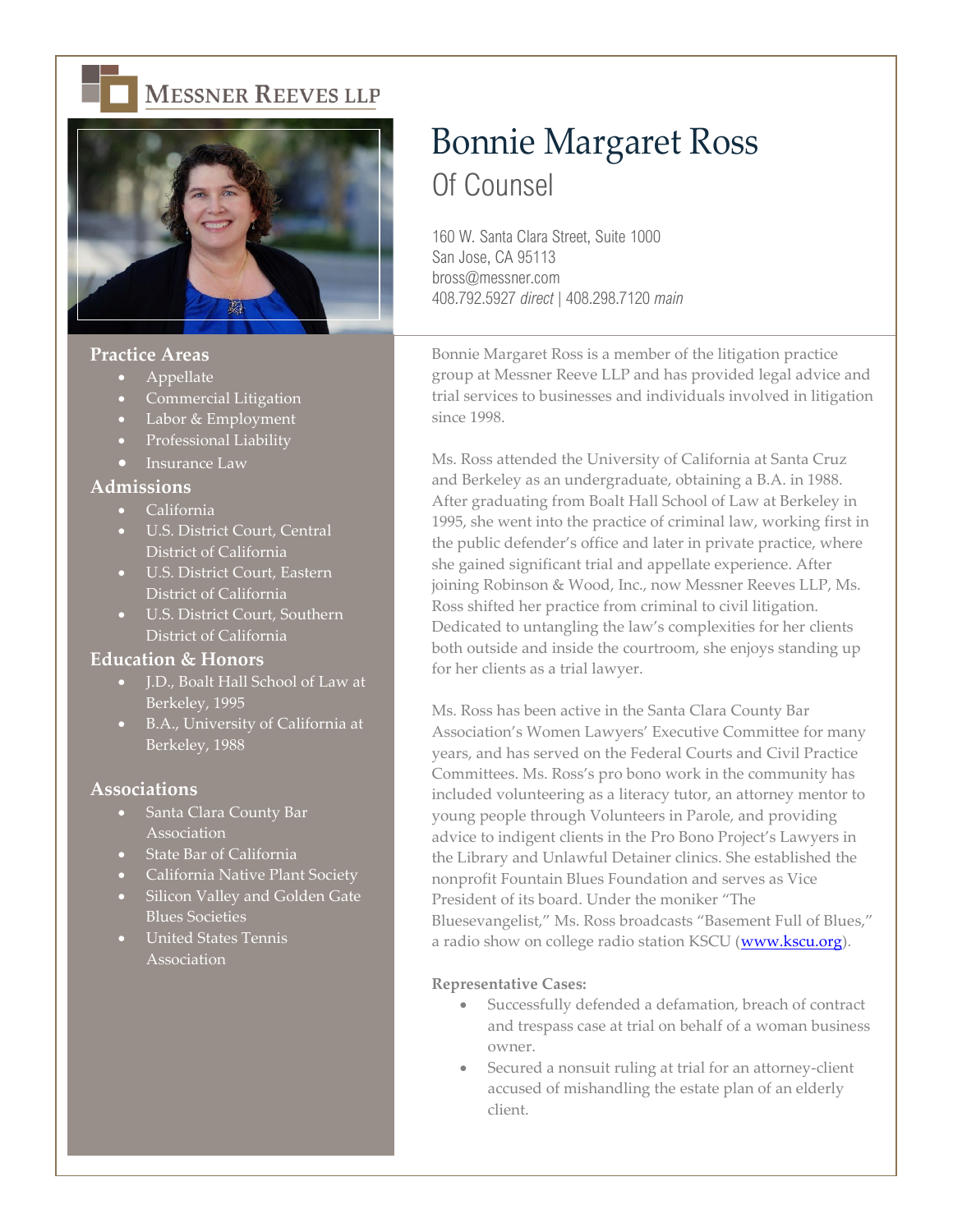



# **Practice Areas**

- Appellate
- Commercial Litigation
- Labor & Employment
- Professional Liability
- Insurance Law

## **Admissions**

- California
- U.S. District Court, Central District of California
- U.S. District Court, Eastern District of California
- U.S. District Court, Southern District of California

## **Education & Honors**

- J.D., Boalt Hall School of Law at Berkeley, 1995
- B.A., University of California at Berkeley, 1988

## **Associations**

- Santa Clara County Bar Association
- State Bar of California
- California Native Plant Society
- Silicon Valley and Golden Gate Blues Societies
- United States Tennis Association

# Bonnie Margaret Ross Of Counsel

160 W. Santa Clara Street, Suite 1000 San Jose, CA 95113 bross@messner.com 408.792.5927 *direct* | 408.298.7120 *main*

Bonnie Margaret Ross is a member of the litigation practice group at Messner Reeve LLP and has provided legal advice and trial services to businesses and individuals involved in litigation since 1998.

Ms. Ross attended the University of California at Santa Cruz and Berkeley as an undergraduate, obtaining a B.A. in 1988. After graduating from Boalt Hall School of Law at Berkeley in 1995, she went into the practice of criminal law, working first in the public defender's office and later in private practice, where she gained significant trial and appellate experience. After joining Robinson & Wood, Inc., now Messner Reeves LLP, Ms. Ross shifted her practice from criminal to civil litigation. Dedicated to untangling the law's complexities for her clients both outside and inside the courtroom, she enjoys standing up for her clients as a trial lawyer.

Ms. Ross has been active in the Santa Clara County Bar Association's Women Lawyers' Executive Committee for many years, and has served on the Federal Courts and Civil Practice Committees. Ms. Ross's pro bono work in the community has included volunteering as a literacy tutor, an attorney mentor to young people through Volunteers in Parole, and providing advice to indigent clients in the Pro Bono Project's Lawyers in the Library and Unlawful Detainer clinics. She established the nonprofit Fountain Blues Foundation and serves as Vice President of its board. Under the moniker "The Bluesevangelist," Ms. Ross broadcasts "Basement Full of Blues," a radio show on college radio station KSCU [\(www.kscu.org\)](http://www.kscu.org/).

#### **Representative Cases:**

- Successfully defended a defamation, breach of contract and trespass case at trial on behalf of a woman business owner.
- Secured a nonsuit ruling at trial for an attorney-client accused of mishandling the estate plan of an elderly client.